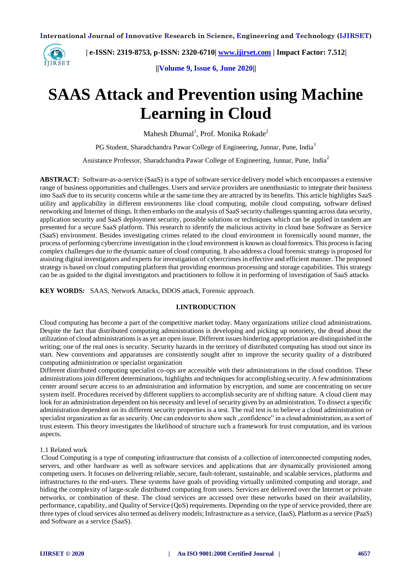

 **| e-ISSN: 2319-8753, p-ISSN: 2320-6710| [www.ijirset.com](http://www.ijirset.com/) | Impact Factor: 7.512|**

**||Volume 9, Issue 6, June 2020||** 

# **SAAS Attack and Prevention using Machine Learning in Cloud**

Mahesh Dhumal<sup>1</sup>, Prof. Monika Rokade<sup>2</sup>

PG Student, Sharadchandra Pawar College of Engineering, Junnar, Pune, India<sup>1</sup>

Assistance Professor, Sharadchandra Pawar College of Engineering, Junnar, Pune, India<sup>2</sup>

**ABSTRACT***:* Software-as-a-service (SaaS) is a type of software service delivery model which encompasses a extensive range of business opportunities and challenges. Users and service providers are unenthusiastic to integrate their business into SaaS due to its security concerns while at the same time they are attracted by its benefits. This article highlights SaaS utility and applicability in different environments like cloud computing, mobile cloud computing, software defined networking and Internet of things. It then embarks on the analysis of SaaS security challenges spanning across data security, application security and SaaS deployment security, possible solutions or techniques which can be applied in tandem are presented for a secure SaaS platform. This research to identify the malicious activity in cloud base Software as Service (SaaS) environment. Besides investigating crimes related to the cloud environment in forensically sound manner, the process of performing cybercrime investigation in the cloud environment is known as cloud forensics. This process is facing complex challenges due to the dynamic nature of cloud computing. It also address a cloud forensic strategy is proposed for assisting digital investigators and experts for investigation of cybercrimes in effective and efficient manner. The proposed strategy is based on cloud computing platform that providing enormous processing and storage capabilities. This strategy can be as guided to the digital investigators and practitioners to follow it in performing of investigation of SaaS attacks

**KEY WORDS***:* SAAS, Network Attacks, DDOS attack, Forensic approach.

# **I.INTRODUCTION**

Cloud computing has become a part of the competitive market today. Many organizations utilize cloud administrations. Despite the fact that distributed computing administrations is developing and picking up notoriety, the dread about the utilization of cloud administrations is as yet an open issue. Different issues hindering appropriation are distinguished in the writing; one of the real ones is security. Security hazards in the territory of distributed computing has stood out since its start. New conventions and apparatuses are consistently sought after to improve the security quality of a distributed computing administration or specialist organization

Different distributed computing specialist co-ops are accessible with their administrations in the cloud condition. These administrations join different determinations, highlights and techniques for accomplishing security. A few administrations center around secure access to an administration and information by encryption, and some are concentrating on secure system itself. Procedures received by different suppliers to accomplish security are of shifting nature. A cloud client may look for an administration dependent on his necessity and level of security given by an administration. To dissect a specific administration dependent on its different security properties is a test. The real test is to believe a cloud administration or specialist organization as far as security. One can endeavor to show such "confidence" in a cloud administration, as a sort of trust esteem. This theory investigates the likelihood of structure such a framework for trust computation, and its various aspects.

# 1.1 Related work

Cloud Computing is a type of computing infrastructure that consists of a collection of interconnected computing nodes, servers, and other hardware as well as software services and applications that are dynamically provisioned among competing users. It focuses on delivering reliable, secure, fault-tolerant, sustainable, and scalable services, platforms and infrastructures to the end-users. These systems have goals of providing virtually unlimited computing and storage, and hiding the complexity of large-scale distributed computing from users. Services are delivered over the Internet or private networks, or combination of these. The cloud services are accessed over these networks based on their availability, performance, capability, and Quality of Service (QoS) requirements. Depending on the type of service provided, there are three types of cloud services also termed as delivery models; Infrastructure as a service, (IaaS), Platform as a service (PaaS) and Software as a service (SaaS).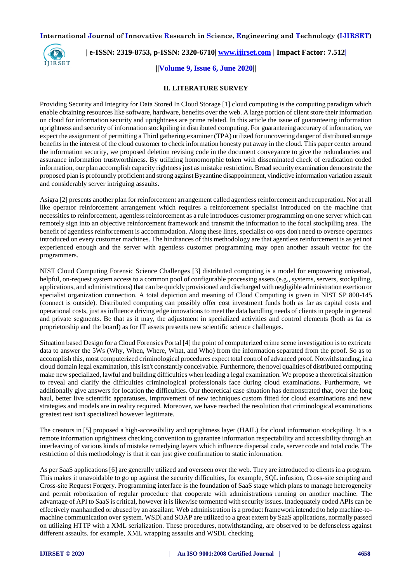

# **| e-ISSN: 2319-8753, p-ISSN: 2320-6710| [www.ijirset.com](http://www.ijirset.com/) | Impact Factor: 7.512|**

# **||Volume 9, Issue 6, June 2020||**

#### **II. LITERATURE SURVEY**

Providing Security and Integrity for Data Stored In Cloud Storage [1] cloud computing is the computing paradigm which enable obtaining resources like software, hardware, benefits over the web. A large portion of client store their information on cloud for information security and uprightness are prime related. In this article the issue of guaranteeing information uprightness and security of information stockpiling in distributed computing. For guaranteeing accuracy of information, we expect the assignment of permitting a Third gathering examiner (TPA) utilized for uncovering danger of distributed storage benefits in the interest of the cloud customer to check information honesty put away in the cloud. This paper center around the information security, we proposed deletion revising code in the document conveyance to give the redundancies and assurance information trustworthiness. By utilizing homomorphic token with disseminated check of eradication coded information, our plan accomplish capacity rightness just as mistake restriction. Broad security examination demonstrate the proposed plan is profoundly proficient and strong against Byzantine disappointment, vindictive information variation assault and considerably server intriguing assaults.

Asigra [2] presents another plan for reinforcement arrangement called agentless reinforcement and recuperation. Not at all like operator reinforcement arrangement which requires a reinforcement specialist introduced on the machine that necessities to reinforcement, agentless reinforcement as a rule introduces customer programming on one server which can remotely sign into an objective reinforcement framework and transmit the information to the focal stockpiling area. The benefit of agentless reinforcement is accommodation. Along these lines, specialist co-ops don't need to oversee operators introduced on every customer machines. The hindrances of this methodology are that agentless reinforcement is as yet not experienced enough and the server with agentless customer programming may open another assault vector for the programmers.

NIST Cloud Computing Forensic Science Challenges [3] distributed computing is a model for empowering universal, helpful, on-request system access to a common pool of configurable processing assets (e.g., systems, servers, stockpiling, applications, and administrations) that can be quickly provisioned and discharged with negligible administration exertion or specialist organization connection. A total depiction and meaning of Cloud Computing is given in NIST SP 800-145 (connect is outside). Distributed computing can possibly offer cost investment funds both as far as capital costs and operational costs, just as influence driving edge innovations to meet the data handling needs of clients in people in general and private segments. Be that as it may, the adjustment in specialized activities and control elements (both as far as proprietorship and the board) as for IT assets presents new scientific science challenges.

Situation based Design for a Cloud Forensics Portal [4] the point of computerized crime scene investigation is to extricate data to answer the 5Ws (Why, When, Where, What, and Who) from the information separated from the proof. So as to accomplish this, most computerized criminological procedures expect total control of advanced proof. Notwithstanding, in a cloud domain legal examination, this isn't constantly conceivable. Furthermore, the novel qualities of distributed computing make new specialized, lawful and building difficulties when leading a legal examination. We propose a theoretical situation to reveal and clarify the difficulties criminological professionals face during cloud examinations. Furthermore, we additionally give answers for location the difficulties. Our theoretical case situation has demonstrated that, over the long haul, better live scientific apparatuses, improvement of new techniques custom fitted for cloud examinations and new strategies and models are in reality required. Moreover, we have reached the resolution that criminological examinations greatest test isn't specialized however legitimate.

The creators in [5] proposed a high-accessibility and uprightness layer (HAIL) for cloud information stockpiling. It is a remote information uprightness checking convention to guarantee information respectability and accessibility through an interleaving of various kinds of mistake remedying layers which influence dispersal code, server code and total code. The restriction of this methodology is that it can just give confirmation to static information.

As per SaaS applications [6] are generally utilized and overseen over the web. They are introduced to clients in a program. This makes it unavoidable to go up against the security difficulties, for example, SQL infusion, Cross-site scripting and Cross-site Request Forgery. Programming interface is the foundation of SaaS stage which plans to manage heterogeneity and permit robotization of regular procedure that cooperate with administrations running on another machine. The advantage of API to SaaS is critical, however it is likewise tormented with security issues. Inadequately coded APIs can be effectively manhandled or abused by an assailant. Web administration is a product framework intended to help machine-tomachine communication over system. WSDl and SOAP are utilized to a great extent by SaaS applications, normally passed on utilizing HTTP with a XML serialization. These procedures, notwithstanding, are observed to be defenseless against different assaults. for example, XML wrapping assaults and WSDL checking.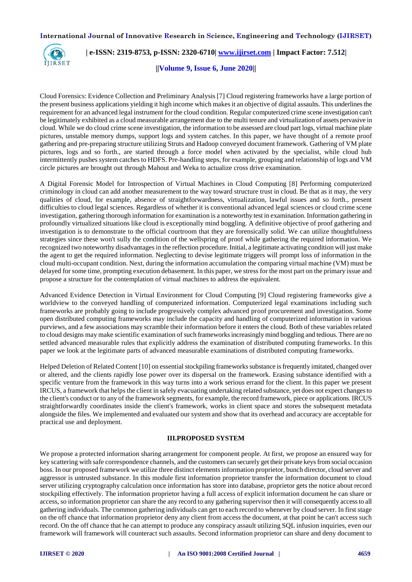

 **| e-ISSN: 2319-8753, p-ISSN: 2320-6710| [www.ijirset.com](http://www.ijirset.com/) | Impact Factor: 7.512|**

**||Volume 9, Issue 6, June 2020||** 

Cloud Forensics: Evidence Collection and Preliminary Analysis [7] Cloud registering frameworks have a large portion of the present business applications yielding it high income which makes it an objective of digital assaults. This underlines the requirement for an advanced legal instrument for the cloud condition. Regular computerized crime scene investigation can't be legitimately exhibited as a cloud measurable arrangement due to the multi tenure and virtualization of assets pervasive in cloud. While we do cloud crime scene investigation, the information to be assessed are cloud part logs, virtual machine plate pictures, unstable memory dumps, support logs and system catches. In this paper, we have thought of a remote proof gathering and pre-preparing structure utilizing Struts and Hadoop conveyed document framework. Gathering of VM plate pictures, logs and so forth., are started through a force model when activated by the specialist, while cloud hub intermittently pushes system catches to HDFS. Pre-handling steps, for example, grouping and relationship of logs and VM circle pictures are brought out through Mahout and Weka to actualize cross drive examination.

A Digital Forensic Model for Introspection of Virtual Machines in Cloud Computing [8] Performing computerized criminology in cloud can add another measurement to the way toward structure trust in cloud. Be that as it may, the very qualities of cloud, for example, absence of straightforwardness, virtualization, lawful issues and so forth., present difficulties to cloud legal sciences. Regardless of whether it is conventional advanced legal sciences or cloud crime scene investigation, gathering thorough information for examination is a noteworthy test in examination. Information gathering in profoundly virtualized situations like cloud is exceptionally mind boggling. A definitive objective of proof gathering and investigation is to demonstrate to the official courtroom that they are forensically solid. We can utilize thoughtfulness strategies since these won't sully the condition of the wellspring of proof while gathering the required information. We recognized two noteworthy disadvantages in the reflection procedure. Initial, a legitimate activating condition will just make the agent to get the required information. Neglecting to devise legitimate triggers will prompt loss of information in the cloud multi-occupant condition. Next, during the information accumulation the comparing virtual machine (VM) must be delayed for some time, prompting execution debasement. In this paper, we stress for the most part on the primary issue and propose a structure for the contemplation of virtual machines to address the equivalent.

Advanced Evidence Detection in Virtual Environment for Cloud Computing [9] Cloud registering frameworks give a worldview to the conveyed handling of computerized information. Computerized legal examinations including such frameworks are probably going to include progressively complex advanced proof procurement and investigation. Some open distributed computing frameworks may include the capacity and handling of computerized information in various purviews, and a few associations may scramble their information before it enters the cloud. Both of these variables related to cloud designs may make scientific examination of such frameworks increasingly mind boggling and tedious. There are no settled advanced measurable rules that explicitly address the examination of distributed computing frameworks. In this paper we look at the legitimate parts of advanced measurable examinations of distributed computing frameworks.

Helped Deletion of Related Content [10] on essential stockpiling frameworks substance is frequently imitated, changed over or altered, and the clients rapidly lose power over its dispersal on the framework. Erasing substance identified with a specific venture from the framework in this way turns into a work serious errand for the client. In this paper we present IRCUS, a framework that helps the client in safely evacuating undertaking related substance, yet does not expect changes to the client's conduct or to any of the framework segments, for example, the record framework, piece or applications. IRCUS straightforwardly coordinates inside the client's framework, works in client space and stores the subsequent metadata alongside the files. We implemented and evaluated our system and show that its overhead and accuracy are acceptable for practical use and deployment.

#### **III.PROPOSED SYSTEM**

We propose a protected information sharing arrangement for component people. At first, we propose an ensured way for key scattering with safe correspondence channels, and the customers can securely get their private keys from social occasion boss. In our proposed framework we utilize three distinct elements information proprietor, bunch director, cloud server and aggressor is untrusted substance. In this module first information proprietor transfer the information document to cloud server utilizing cryptography calculation once information has store into database, proprietor gets the notice about record stockpiling effectively. The information proprietor having a full access of explicit information document he can share or access, so information proprietor can share the any record to any gathering supervisor then it will consequently access to all gathering individuals. The common gathering individuals can get to each record to whenever by cloud server. In first stage on the off chance that information proprietor deny any client from access the document, at that point he can't access such record. On the off chance that he can attempt to produce any conspiracy assault utilizing SQL infusion inquiries, even our framework will framework will counteract such assaults. Second information proprietor can share and deny document to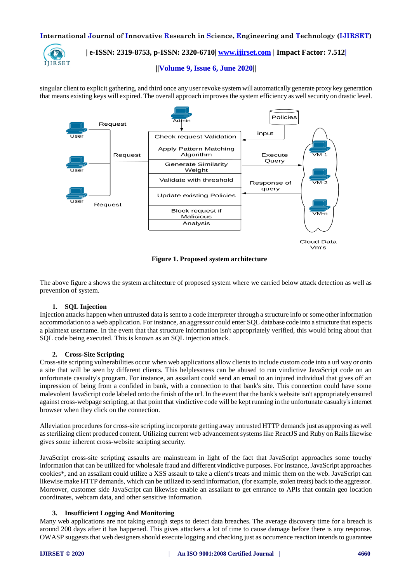

# **| e-ISSN: 2319-8753, p-ISSN: 2320-6710| [www.ijirset.com](http://www.ijirset.com/) | Impact Factor: 7.512|**

## **||Volume 9, Issue 6, June 2020||**

singular client to explicit gathering, and third once any user revoke system will automatically generate proxy key generation that means existing keys will expired. The overall approach improves the system efficiency as well security on drastic level.



**Figure 1. Proposed system architecture**

The above figure a shows the system architecture of proposed system where we carried below attack detection as well as prevention of system.

## **1. SQL Injection**

Injection attacks happen when untrusted data is sent to a code interpreter through a structure info or some other information accommodation to a web application. For instance, an aggressor could enter SQL database code into a structure that expects a plaintext username. In the event that that structure information isn't appropriately verified, this would bring about that SQL code being executed. This is known as an SQL injection attack.

#### **2. Cross-Site Scripting**

Cross-site scripting vulnerabilities occur when web applications allow clients to include custom code into a url way or onto a site that will be seen by different clients. This helplessness can be abused to run vindictive JavaScript code on an unfortunate casualty's program. For instance, an assailant could send an email to an injured individual that gives off an impression of being from a confided in bank, with a connection to that bank's site. This connection could have some malevolent JavaScript code labeled onto the finish of the url. In the event that the bank's website isn't appropriately ensured against cross-webpage scripting, at that point that vindictive code will be kept running in the unfortunate casualty's internet browser when they click on the connection.

Alleviation procedures for cross-site scripting incorporate getting away untrusted HTTP demands just as approving as well as sterilizing client produced content. Utilizing current web advancement systems like ReactJS and Ruby on Rails likewise gives some inherent cross-website scripting security.

JavaScript cross-site scripting assaults are mainstream in light of the fact that JavaScript approaches some touchy information that can be utilized for wholesale fraud and different vindictive purposes. For instance, JavaScript approaches cookies\*, and an assailant could utilize a XSS assault to take a client's treats and mimic them on the web. JavaScript can likewise make HTTP demands, which can be utilized to send information, (for example, stolen treats) back to the aggressor. Moreover, customer side JavaScript can likewise enable an assailant to get entrance to APIs that contain geo location coordinates, webcam data, and other sensitive information.

#### **3. Insufficient Logging And Monitoring**

Many web applications are not taking enough steps to detect data breaches. The average discovery time for a breach is around 200 days after it has happened. This gives attackers a lot of time to cause damage before there is any response. OWASP suggests that web designers should execute logging and checking just as occurrence reaction intends to guarantee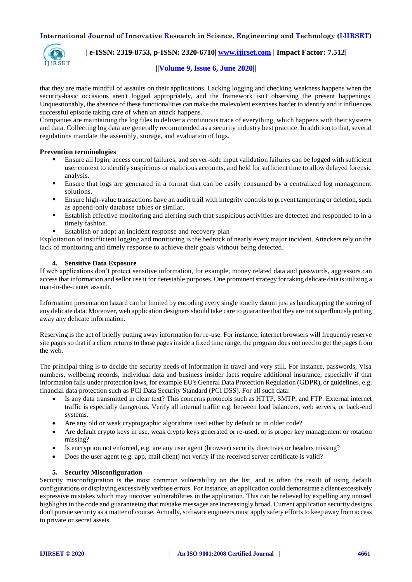

# **| e-ISSN: 2319-8753, p-ISSN: 2320-6710| [www.ijirset.com](http://www.ijirset.com/) | Impact Factor: 7.512|**

# **||Volume 9, Issue 6, June 2020||**

that they are made mindful of assaults on their applications. Lacking logging and checking weakness happens when the security-basic occasions aren't logged appropriately, and the framework isn't observing the present happenings. Unquestionably, the absence of these functionalities can make the malevolent exercises harder to identify and it influences successful episode taking care of when an attack happens.

Companies are maintaining the log files to deliver a continuous trace of everything, which happens with their systems and data. Collecting log data are generally recommended as a security industry best practice. In addition to that, several regulations mandate the assembly, storage, and evaluation of logs.

## **Prevention terminologies**

- Ensure all login, access control failures, and server-side input validation failures can be logged with sufficient user context to identify suspicious or malicious accounts, and held for sufficient time to allow delayed forensic analysis.
- Ensure that logs are generated in a format that can be easily consumed by a centralized log management solutions.
- Ensure high-value transactions have an audit trail with integrity controls to prevent tampering or deletion, such as append-only database tables or similar.
- Establish effective monitoring and alerting such that suspicious activities are detected and responded to in a timely fashion.
- Establish or adopt an incident response and recovery plan

Exploitation of insufficient logging and monitoring is the bedrock of nearly every major incident. Attackers rely on the lack of monitoring and timely response to achieve their goals without being detected.

## **4. Sensitive Data Exposure**

If web applications don't protect sensitive information, for example, money related data and passwords, aggressors can access that information and sellor use it for detestable purposes. One prominent strategy for taking delicate data is utilizing a man-in-the-center assault.

Information presentation hazard can be limited by encoding every single touchy datum just as handicapping the storing of any delicate data. Moreover, web application designers should take care to guarantee that they are not superfluously putting away any delicate information.

Reserving is the act of briefly putting away information for re-use. For instance, internet browsers will frequently reserve site pages so that if a client returns to those pages inside a fixed time range, the program does not need to get the pages from the web.

The principal thing is to decide the security needs of information in travel and very still. For instance, passwords, Visa numbers, wellbeing records, individual data and business insider facts require additional insurance, especially if that information falls under protection laws, for example EU's General Data Protection Regulation (GDPR), or guidelines, e.g. financial data protection such as PCI Data Security Standard (PCI DSS). For all such data:

- Is any data transmitted in clear text? This concerns protocols such as HTTP, SMTP, and FTP. External internet traffic is especially dangerous. Verify all internal traffic e.g. between load balancers, web servers, or back-end systems.
- Are any old or weak cryptographic algorithms used either by default or in older code?
- Are default crypto keys in use, weak crypto keys generated or re-used, or is proper key management or rotation missing?
- Is encryption not enforced, e.g. are any user agent (browser) security directives or headers missing?
- Does the user agent (e.g. app, mail client) not verify if the received server certificate is valid?

# **5. Security Misconfiguration**

Security misconfiguration is the most common vulnerability on the list, and is often the result of using default configurations or displaying excessively verbose errors. For instance, an application could demonstrate a client excessively expressive mistakes which may uncover vulnerabilities in the application. This can be relieved by expelling any unused highlights in the code and guaranteeing that mistake messages are increasingly broad. Current application security designs don't pursue security as a matter of course. Actually, software engineers must apply safety efforts to keep away from access to private or secret assets.